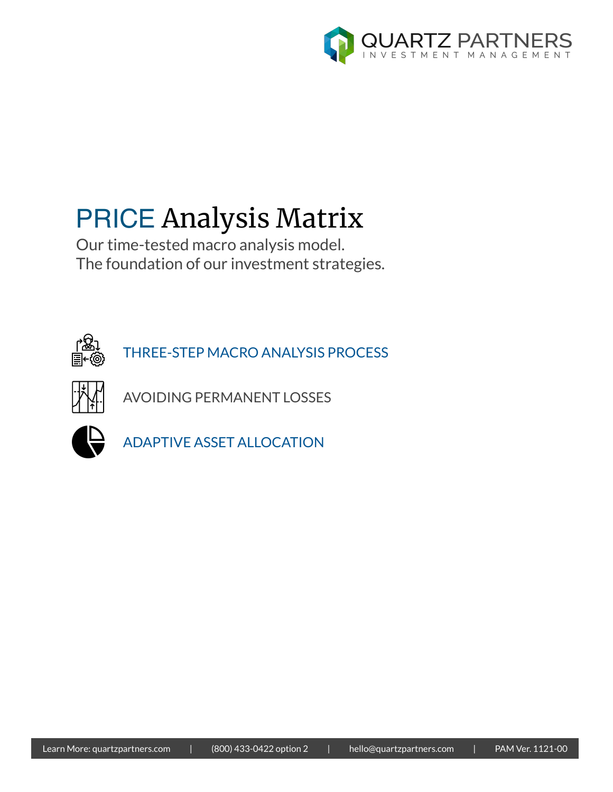

# PRICE Analysis Matrix

Our time-tested macro analysis model. The foundation of our investment strategies.



THREE-STEP MACRO ANALYSIS PROCESS



AVOIDING PERMANENT LOSSES



ADAPTIVE ASSET ALLOCATION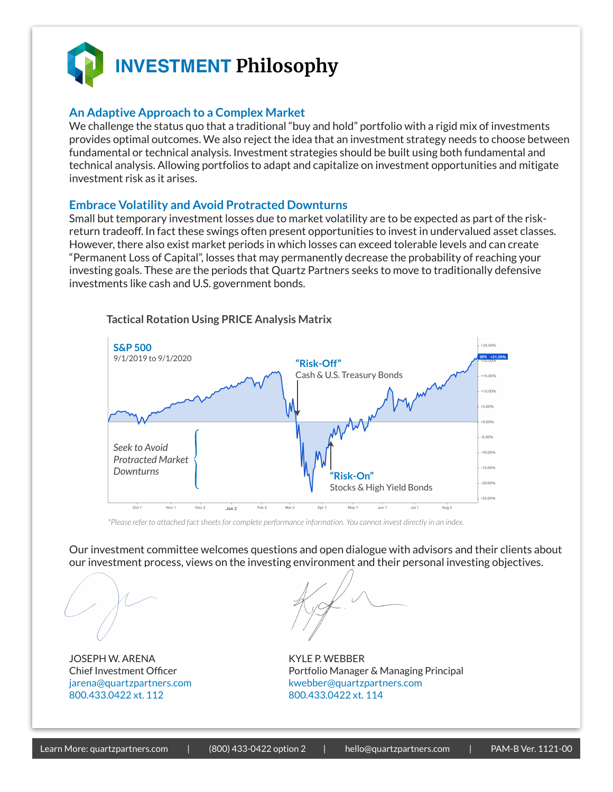

# **An Adaptive Approach to a Complex Market**

We challenge the status quo that a traditional "buy and hold" portfolio with a rigid mix of investments provides optimal outcomes. We also reject the idea that an investment strategy needs to choose between fundamental or technical analysis. Investment strategies should be built using both fundamental and technical analysis. Allowing portfolios to adapt and capitalize on investment opportunities and mitigate investment risk as it arises.

### **Embrace Volatility and Avoid Protracted Downturns**

Small but temporary investment losses due to market volatility are to be expected as part of the riskreturn tradeoff. In fact these swings often present opportunities to invest in undervalued asset classes. However, there also exist market periods in which losses can exceed tolerable levels and can create "Permanent Loss of Capital", losses that may permanently decrease the probability of reaching your investing goals. These are the periods that Quartz Partners seeks to move to traditionally defensive investments like cash and U.S. government bonds.



#### **Tactical Rotation Using PRICE Analysis Matrix**

*\*Please refer to attached fact sheets for complete performance information. You cannot invest directly in an index.* 

Our investment committee welcomes questions and open dialogue with advisors and their clients about our investment process, views on the investing environment and their personal investing objectives.

JOSEPH W. ARENA KYLE P. WEBBER 800.433.0422 xt. 112 800.433.0422 xt. 114

Chief Investment Officer **Portfolio Manager & Managing Principal** jarena@quartzpartners.com kwebber@quartzpartners.com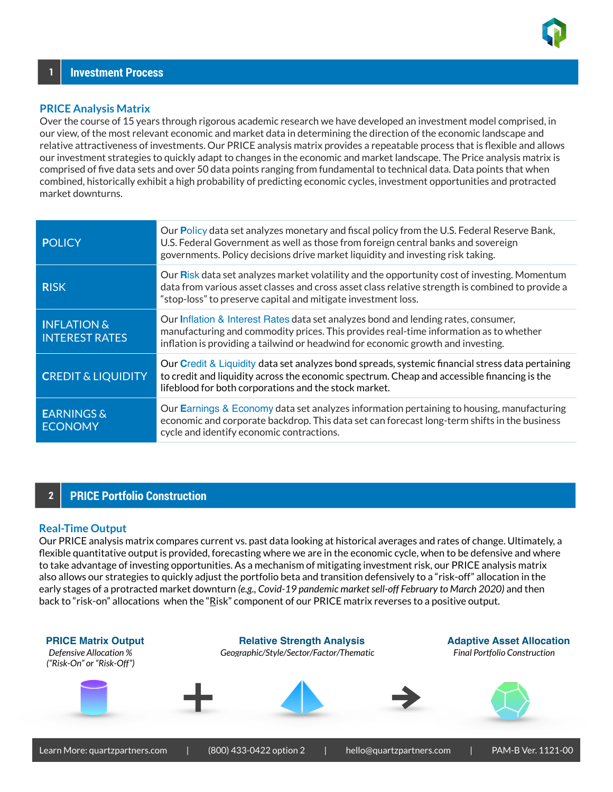

#### **PRICE Analysis Matrix**

Over the course of 15 years through rigorous academic research we have developed an investment model comprised, in our view, of the most relevant economic and market data in determining the direction of the economic landscape and relative attractiveness of investments. Our PRICE analysis matrix provides a repeatable process that is flexible and allows our investment strategies to quickly adapt to changes in the economic and market landscape. The Price analysis matrix is comprised of five data sets and over 50 data points ranging from fundamental to technical data. Data points that when combined, historically exhibit a high probability of predicting economic cycles, investment opportunities and protracted market downturns.

| <b>POLICY</b>                                   | Our Policy data set analyzes monetary and fiscal policy from the U.S. Federal Reserve Bank,<br>U.S. Federal Government as well as those from foreign central banks and sovereign<br>governments. Policy decisions drive market liquidity and investing risk taking. |
|-------------------------------------------------|---------------------------------------------------------------------------------------------------------------------------------------------------------------------------------------------------------------------------------------------------------------------|
| <b>RISK</b>                                     | Our Risk data set analyzes market volatility and the opportunity cost of investing. Momentum<br>data from various asset classes and cross asset class relative strength is combined to provide a<br>"stop-loss" to preserve capital and mitigate investment loss.   |
| <b>INFLATION &amp;</b><br><b>INTEREST RATES</b> | Our Inflation & Interest Rates data set analyzes bond and lending rates, consumer,<br>manufacturing and commodity prices. This provides real-time information as to whether<br>inflation is providing a tailwind or headwind for economic growth and investing.     |
| <b>CREDIT &amp; LIQUIDITY</b>                   | Our Credit & Liquidity data set analyzes bond spreads, systemic financial stress data pertaining<br>to credit and liquidity across the economic spectrum. Cheap and accessible financing is the<br>lifeblood for both corporations and the stock market.            |
| <b>EARNINGS &amp;</b><br><b>ECONOMY</b>         | Our Earnings & Economy data set analyzes information pertaining to housing, manufacturing<br>economic and corporate backdrop. This data set can forecast long-term shifts in the business<br>cycle and identify economic contractions.                              |

# **2 PRICE Portfolio Construction**

#### **Real-Time Output**

Our PRICE analysis matrix compares current vs. past data looking at historical averages and rates of change. Ultimately, a flexible quantitative output is provided, forecasting where we are in the economic cycle, when to be defensive and where to take advantage of investing opportunities. As a mechanism of mitigating investment risk, our PRICE analysis matrix also allows our strategies to quickly adjust the portfolio beta and transition defensively to a "risk-off" allocation in the early stages of a protracted market downturn *(e.g., Covid-19 pandemic market sell-off February to March 2020)* and then back to "risk-on" allocations when the "Risk" component of our PRICE matrix reverses to a positive output.